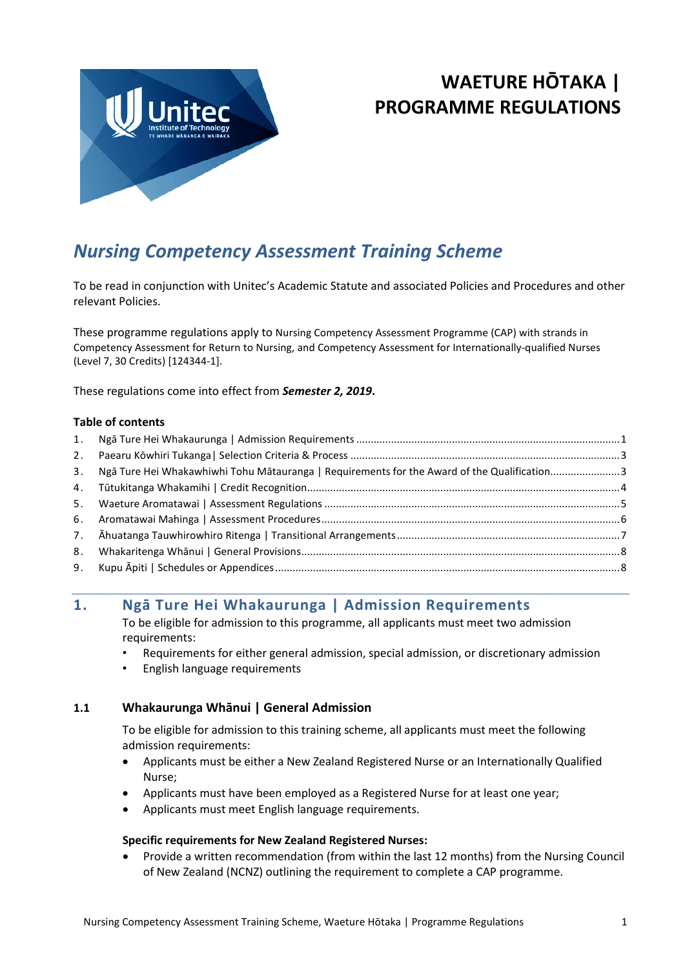

# **WAETURE HŌTAKA | PROGRAMME REGULATIONS**

# *Nursing Competency Assessment Training Scheme*

To be read in conjunction with Unitec's Academic Statute and associated Policies and Procedures and other relevant Policies.

These programme regulations apply to Nursing Competency Assessment Programme (CAP) with strands in Competency Assessment for Return to Nursing, and Competency Assessment for Internationally-qualified Nurses (Level 7, 30 Credits) [124344-1].

These regulations come into effect from *Semester 2, 2019***.**

#### **Table of contents**

| 3. | Ngā Ture Hei Whakawhiwhi Tohu Mātauranga   Requirements for the Award of the Qualification3 |  |
|----|---------------------------------------------------------------------------------------------|--|
|    |                                                                                             |  |
|    |                                                                                             |  |
|    |                                                                                             |  |
|    |                                                                                             |  |
| 8. |                                                                                             |  |
|    |                                                                                             |  |
|    |                                                                                             |  |

# <span id="page-0-0"></span>**1. Ngā Ture Hei Whakaurunga | Admission Requirements**

To be eligible for admission to this programme, all applicants must meet two admission requirements:

- Requirements for either general admission, special admission, or discretionary admission
- English language requirements

## **1.1 Whakaurunga Whānui | General Admission**

To be eligible for admission to this training scheme, all applicants must meet the following admission requirements:

- Applicants must be either a New Zealand Registered Nurse or an Internationally Qualified Nurse;
- Applicants must have been employed as a Registered Nurse for at least one year;
- Applicants must meet English language requirements.

#### **Specific requirements for New Zealand Registered Nurses:**

• Provide a written recommendation (from within the last 12 months) from the Nursing Council of New Zealand (NCNZ) outlining the requirement to complete a CAP programme.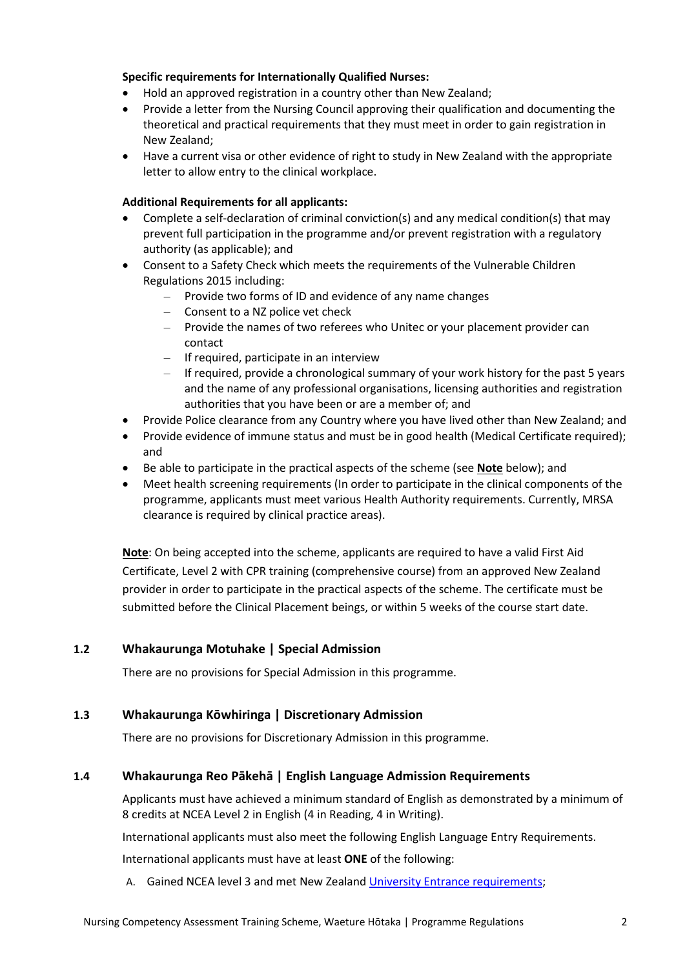#### **Specific requirements for Internationally Qualified Nurses:**

- Hold an approved registration in a country other than New Zealand;
- Provide a letter from the Nursing Council approving their qualification and documenting the theoretical and practical requirements that they must meet in order to gain registration in New Zealand;
- Have a current visa or other evidence of right to study in New Zealand with the appropriate letter to allow entry to the clinical workplace.

#### **Additional Requirements for all applicants:**

- Complete a self-declaration of criminal conviction(s) and any medical condition(s) that may prevent full participation in the programme and/or prevent registration with a regulatory authority (as applicable); and
- Consent to a Safety Check which meets the requirements of the Vulnerable Children Regulations 2015 including:
	- Provide two forms of ID and evidence of any name changes
	- Consent to a NZ police vet check
	- Provide the names of two referees who Unitec or your placement provider can contact
	- $-$  If required, participate in an interview
	- If required, provide a chronological summary of your work history for the past 5 years and the name of any professional organisations, licensing authorities and registration authorities that you have been or are a member of; and
- Provide Police clearance from any Country where you have lived other than New Zealand; and
- Provide evidence of immune status and must be in good health (Medical Certificate required); and
- Be able to participate in the practical aspects of the scheme (see **Note** below); and
- Meet health screening requirements (In order to participate in the clinical components of the programme, applicants must meet various Health Authority requirements. Currently, MRSA clearance is required by clinical practice areas).

**Note**: On being accepted into the scheme, applicants are required to have a valid First Aid Certificate, Level 2 with CPR training (comprehensive course) from an approved New Zealand provider in order to participate in the practical aspects of the scheme. The certificate must be submitted before the Clinical Placement beings, or within 5 weeks of the course start date.

## **1.2 Whakaurunga Motuhake | Special Admission**

There are no provisions for Special Admission in this programme.

## **1.3 Whakaurunga Kōwhiringa | Discretionary Admission**

There are no provisions for Discretionary Admission in this programme.

## **1.4 Whakaurunga Reo Pākehā | English Language Admission Requirements**

Applicants must have achieved a minimum standard of English as demonstrated by a minimum of 8 credits at NCEA Level 2 in English (4 in Reading, 4 in Writing).

International applicants must also meet the following English Language Entry Requirements.

International applicants must have at least **ONE** of the following:

A. Gained NCEA level 3 and met New Zealand [University Entrance requirements](http://www.nzqa.govt.nz/qualifications-standards/awards/university-entrance/review-of-university-entrance-requirements-2016/);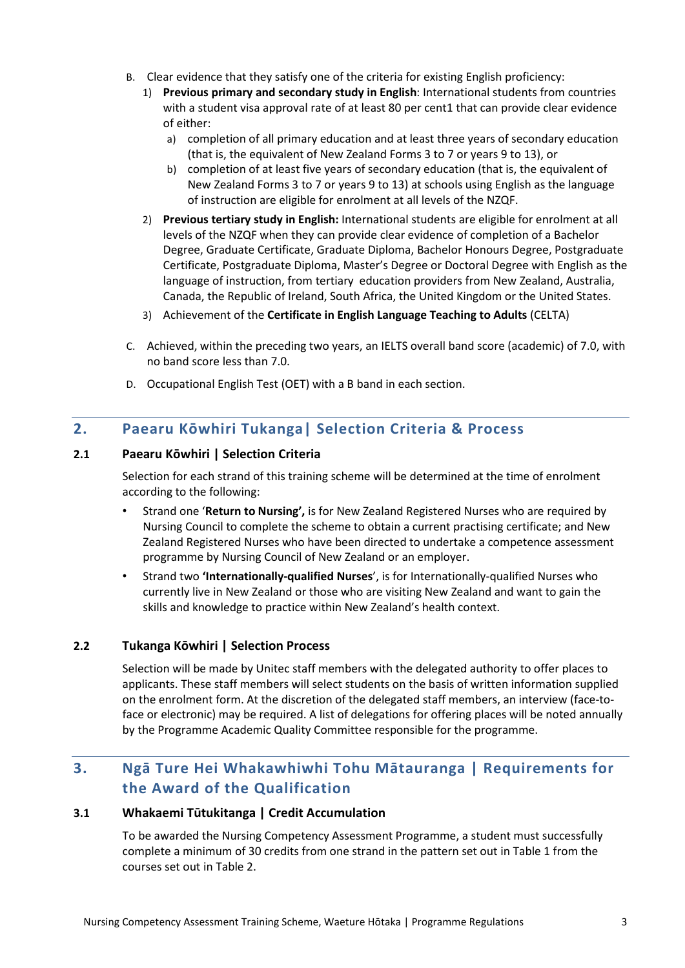- B. Clear evidence that they satisfy one of the criteria for existing English proficiency:
	- 1) **Previous primary and secondary study in English**: International students from countries with a student visa approval rate of at least 80 per cent1 that can provide clear evidence of either:
		- a) completion of all primary education and at least three years of secondary education (that is, the equivalent of New Zealand Forms 3 to 7 or years 9 to 13), or
		- b) completion of at least five years of secondary education (that is, the equivalent of New Zealand Forms 3 to 7 or years 9 to 13) at schools using English as the language of instruction are eligible for enrolment at all levels of the NZQF.
	- 2) **Previous tertiary study in English:** International students are eligible for enrolment at all levels of the NZQF when they can provide clear evidence of completion of a Bachelor Degree, Graduate Certificate, Graduate Diploma, Bachelor Honours Degree, Postgraduate Certificate, Postgraduate Diploma, Master's Degree or Doctoral Degree with English as the language of instruction, from tertiary education providers from New Zealand, Australia, Canada, the Republic of Ireland, South Africa, the United Kingdom or the United States.
	- 3) Achievement of the **Certificate in English Language Teaching to Adults** (CELTA)
- C. Achieved, within the preceding two years, an IELTS overall band score (academic) of 7.0, with no band score less than 7.0.
- D. Occupational English Test (OET) with a B band in each section.

# <span id="page-2-0"></span>**2. Paearu Kōwhiri Tukanga| Selection Criteria & Process**

## **2.1 Paearu Kōwhiri | Selection Criteria**

Selection for each strand of this training scheme will be determined at the time of enrolment according to the following:

- Strand one '**Return to Nursing',** is for New Zealand Registered Nurses who are required by Nursing Council to complete the scheme to obtain a current practising certificate; and New Zealand Registered Nurses who have been directed to undertake a competence assessment programme by Nursing Council of New Zealand or an employer.
- Strand two **'Internationally-qualified Nurses**', is for Internationally-qualified Nurses who currently live in New Zealand or those who are visiting New Zealand and want to gain the skills and knowledge to practice within New Zealand's health context.

# **2.2 Tukanga Kōwhiri | Selection Process**

Selection will be made by Unitec staff members with the delegated authority to offer places to applicants. These staff members will select students on the basis of written information supplied on the enrolment form. At the discretion of the delegated staff members, an interview (face-toface or electronic) may be required. A list of delegations for offering places will be noted annually by the Programme Academic Quality Committee responsible for the programme.

# <span id="page-2-1"></span>**3. Ngā Ture Hei Whakawhiwhi Tohu Mātauranga | Requirements for the Award of the Qualification**

#### **3.1 Whakaemi Tūtukitanga | Credit Accumulation**

To be awarded the Nursing Competency Assessment Programme, a student must successfully complete a minimum of 30 credits from one strand in the pattern set out in Table 1 from the courses set out in Table 2.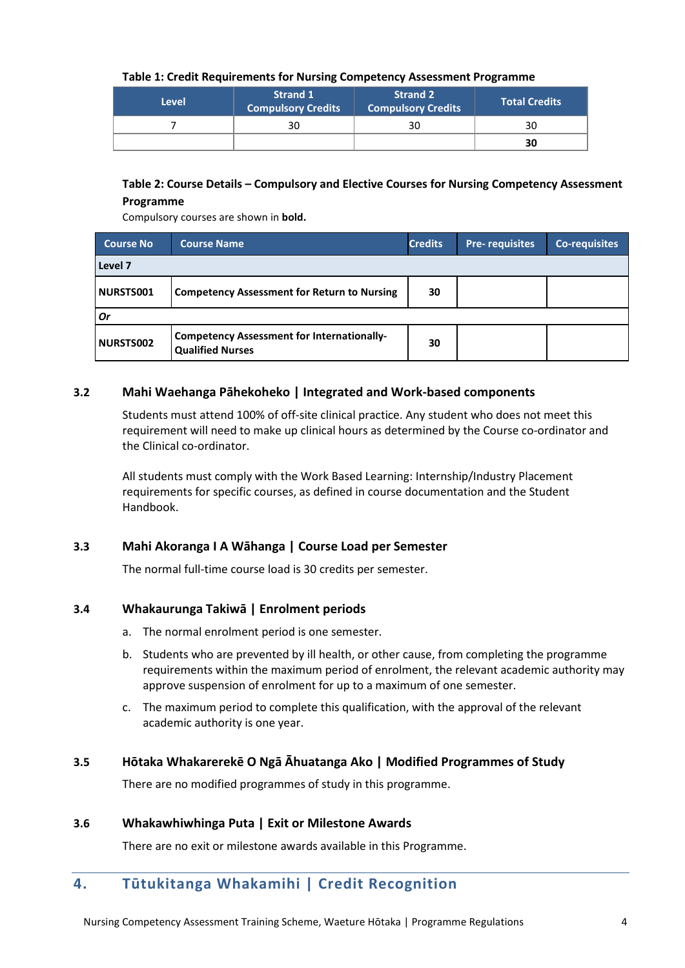#### **Table 1: Credit Requirements for Nursing Competency Assessment Programme**

| <b>Level</b> | <b>Strand 1</b><br><b>Compulsory Credits</b> | <b>Strand 2</b><br><b>Compulsory Credits</b> | <b>Total Credits</b> |
|--------------|----------------------------------------------|----------------------------------------------|----------------------|
|              | 30                                           | 30                                           | 30                   |
|              |                                              |                                              | 30                   |

#### **Table 2: Course Details – Compulsory and Elective Courses for Nursing Competency Assessment Programme**

Compulsory courses are shown in **bold.**

| <b>Course No</b> | <b>Course Name</b>                                                           | <b>Credits</b> | <b>Pre-requisites</b> | <b>Co-requisites</b> |
|------------------|------------------------------------------------------------------------------|----------------|-----------------------|----------------------|
| Level 7          |                                                                              |                |                       |                      |
| NURSTS001        | <b>Competency Assessment for Return to Nursing</b>                           | 30             |                       |                      |
| <b>Or</b>        |                                                                              |                |                       |                      |
| <b>NURSTS002</b> | <b>Competency Assessment for Internationally-</b><br><b>Qualified Nurses</b> | 30             |                       |                      |

#### **3.2 Mahi Waehanga Pāhekoheko | Integrated and Work-based components**

Students must attend 100% of off-site clinical practice. Any student who does not meet this requirement will need to make up clinical hours as determined by the Course co-ordinator and the Clinical co-ordinator.

All students must comply with the Work Based Learning: Internship/Industry Placement requirements for specific courses, as defined in course documentation and the Student Handbook.

#### **3.3 Mahi Akoranga I A Wāhanga | Course Load per Semester**

The normal full-time course load is 30 credits per semester.

## **3.4 Whakaurunga Takiwā | Enrolment periods**

- a. The normal enrolment period is one semester.
- b. Students who are prevented by ill health, or other cause, from completing the programme requirements within the maximum period of enrolment, the relevant academic authority may approve suspension of enrolment for up to a maximum of one semester.
- c. The maximum period to complete this qualification, with the approval of the relevant academic authority is one year.

#### **3.5 Hōtaka Whakarerekē O Ngā Āhuatanga Ako | Modified Programmes of Study**

There are no modified programmes of study in this programme.

#### **3.6 Whakawhiwhinga Puta | Exit or Milestone Awards**

There are no exit or milestone awards available in this Programme.

# <span id="page-3-0"></span>**4. Tūtukitanga Whakamihi | Credit Recognition**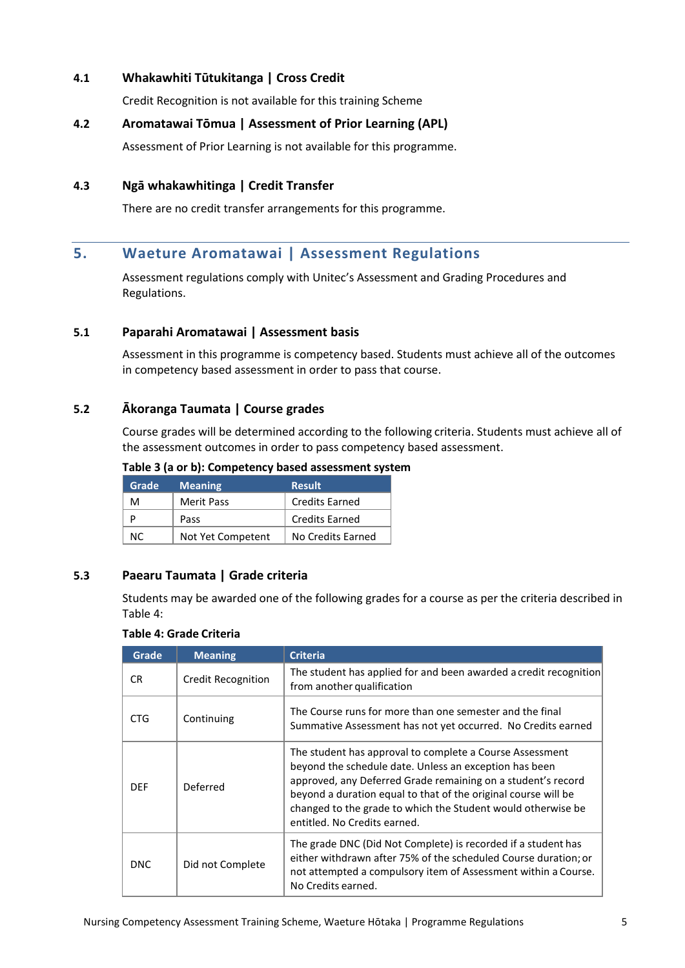## **4.1 Whakawhiti Tūtukitanga | Cross Credit**

Credit Recognition is not available for this training Scheme

#### **4.2 Aromatawai Tōmua | Assessment of Prior Learning (APL)**

Assessment of Prior Learning is not available for this programme.

#### **4.3 Ngā whakawhitinga | Credit Transfer**

There are no credit transfer arrangements for this programme.

# <span id="page-4-0"></span>**5. Waeture Aromatawai | Assessment Regulations**

Assessment regulations comply with Unitec's Assessment and Grading Procedures and Regulations.

#### **5.1 Paparahi Aromatawai | Assessment basis**

Assessment in this programme is competency based. Students must achieve all of the outcomes in competency based assessment in order to pass that course.

#### **5.2 Ākoranga Taumata | Course grades**

Course grades will be determined according to the following criteria. Students must achieve all of the assessment outcomes in order to pass competency based assessment.

#### **Table 3 (a or b): Competency based assessment system**

| Grade | <b>Meaning</b>    | <b>Result</b>         |
|-------|-------------------|-----------------------|
| м     | <b>Merit Pass</b> | <b>Credits Earned</b> |
|       | Pass              | <b>Credits Earned</b> |
| NC.   | Not Yet Competent | No Credits Earned     |

## **5.3 Paearu Taumata | Grade criteria**

Students may be awarded one of the following grades for a course as per the criteria described in Table 4:

#### **Table 4: Grade Criteria**

| Grade      | <b>Meaning</b>            | <b>Criteria</b>                                                                                                                                                                                                                                                                                                                                      |
|------------|---------------------------|------------------------------------------------------------------------------------------------------------------------------------------------------------------------------------------------------------------------------------------------------------------------------------------------------------------------------------------------------|
| CR.        | <b>Credit Recognition</b> | The student has applied for and been awarded a credit recognition<br>from another qualification                                                                                                                                                                                                                                                      |
| CTG.       | Continuing                | The Course runs for more than one semester and the final<br>Summative Assessment has not yet occurred. No Credits earned                                                                                                                                                                                                                             |
| <b>DFF</b> | Deferred                  | The student has approval to complete a Course Assessment<br>beyond the schedule date. Unless an exception has been<br>approved, any Deferred Grade remaining on a student's record<br>beyond a duration equal to that of the original course will be<br>changed to the grade to which the Student would otherwise be<br>entitled. No Credits earned. |
| <b>DNC</b> | Did not Complete          | The grade DNC (Did Not Complete) is recorded if a student has<br>either withdrawn after 75% of the scheduled Course duration; or<br>not attempted a compulsory item of Assessment within a Course.<br>No Credits earned.                                                                                                                             |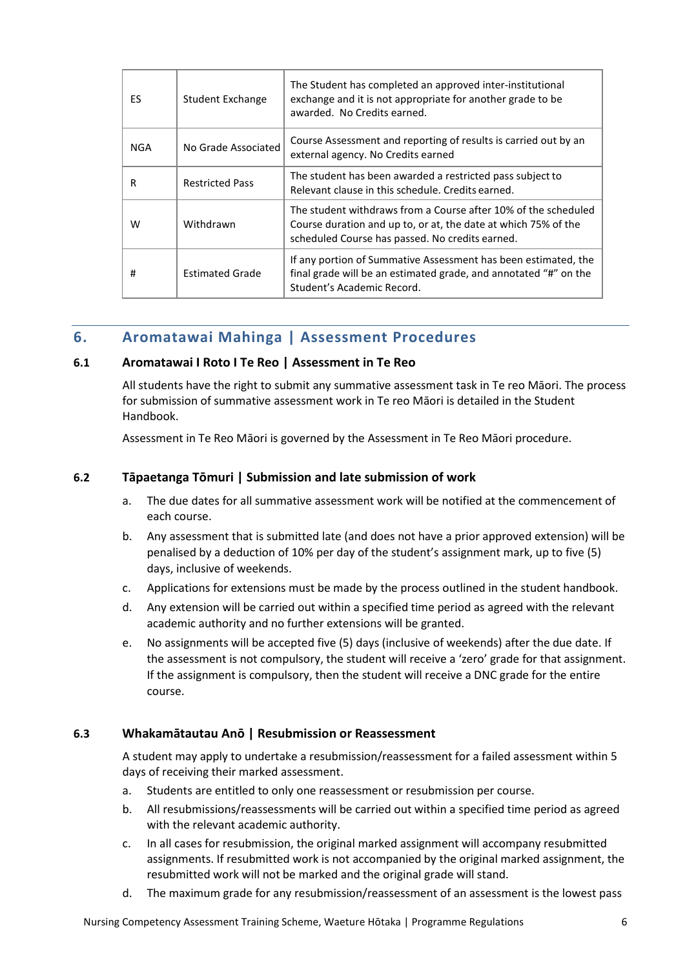| ES. | Student Exchange       | The Student has completed an approved inter-institutional<br>exchange and it is not appropriate for another grade to be<br>awarded. No Credits earned.                              |
|-----|------------------------|-------------------------------------------------------------------------------------------------------------------------------------------------------------------------------------|
| NGA | No Grade Associated    | Course Assessment and reporting of results is carried out by an<br>external agency. No Credits earned                                                                               |
| R   | <b>Restricted Pass</b> | The student has been awarded a restricted pass subject to<br>Relevant clause in this schedule. Credits earned.                                                                      |
| W   | Withdrawn              | The student withdraws from a Course after 10% of the scheduled<br>Course duration and up to, or at, the date at which 75% of the<br>scheduled Course has passed. No credits earned. |
| #   | <b>Estimated Grade</b> | If any portion of Summative Assessment has been estimated, the<br>final grade will be an estimated grade, and annotated "#" on the<br>Student's Academic Record.                    |

# <span id="page-5-0"></span>**6. Aromatawai Mahinga | Assessment Procedures**

#### **6.1 Aromatawai I Roto I Te Reo | Assessment in Te Reo**

All students have the right to submit any summative assessment task in Te reo Māori. The process for submission of summative assessment work in Te reo Māori is detailed in the Student Handbook.

Assessment in Te Reo Māori is governed by the Assessment in Te Reo Māori procedure.

#### **6.2 Tāpaetanga Tōmuri | Submission and late submission of work**

- a. The due dates for all summative assessment work will be notified at the commencement of each course.
- b. Any assessment that is submitted late (and does not have a prior approved extension) will be penalised by a deduction of 10% per day of the student's assignment mark, up to five (5) days, inclusive of weekends.
- c. Applications for extensions must be made by the process outlined in the student handbook.
- d. Any extension will be carried out within a specified time period as agreed with the relevant academic authority and no further extensions will be granted.
- e. No assignments will be accepted five (5) days (inclusive of weekends) after the due date. If the assessment is not compulsory, the student will receive a 'zero' grade for that assignment. If the assignment is compulsory, then the student will receive a DNC grade for the entire course.

#### **6.3 Whakamātautau Anō | Resubmission or Reassessment**

A student may apply to undertake a resubmission/reassessment for a failed assessment within 5 days of receiving their marked assessment.

- a. Students are entitled to only one reassessment or resubmission per course.
- b. All resubmissions/reassessments will be carried out within a specified time period as agreed with the relevant academic authority.
- c. In all cases for resubmission, the original marked assignment will accompany resubmitted assignments. If resubmitted work is not accompanied by the original marked assignment, the resubmitted work will not be marked and the original grade will stand.
- d. The maximum grade for any resubmission/reassessment of an assessment is the lowest pass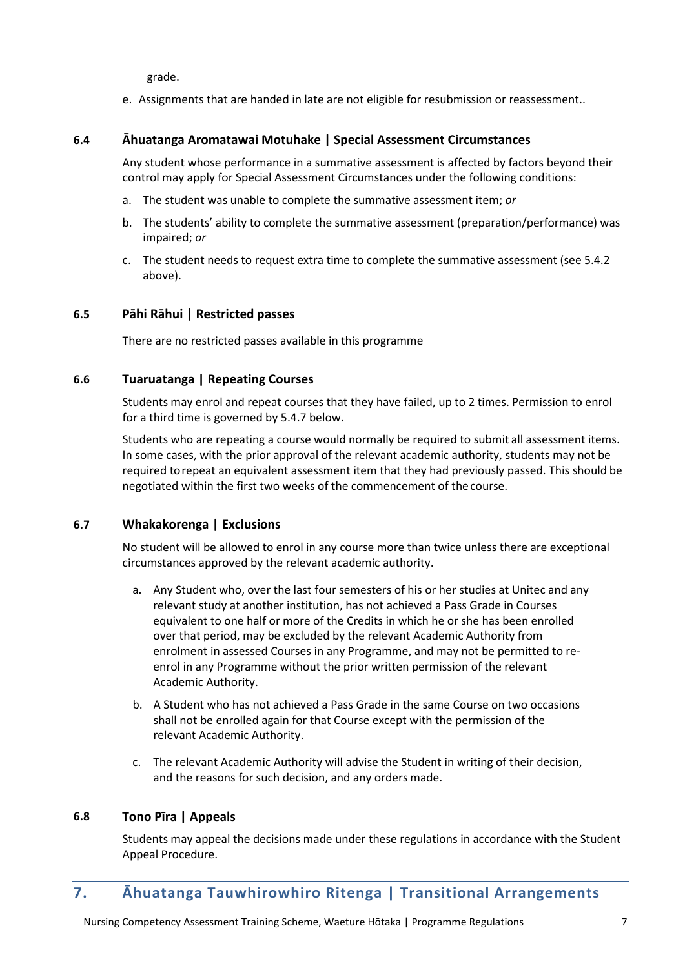grade.

e. Assignments that are handed in late are not eligible for resubmission or reassessment..

## **6.4 Āhuatanga Aromatawai Motuhake | Special Assessment Circumstances**

Any student whose performance in a summative assessment is affected by factors beyond their control may apply for Special Assessment Circumstances under the following conditions:

- a. The student was unable to complete the summative assessment item; *or*
- b. The students' ability to complete the summative assessment (preparation/performance) was impaired; *or*
- c. The student needs to request extra time to complete the summative assessment (see 5.4.2 above).

#### **6.5 Pāhi Rāhui | Restricted passes**

There are no restricted passes available in this programme

#### **6.6 Tuaruatanga | Repeating Courses**

Students may enrol and repeat courses that they have failed, up to 2 times. Permission to enrol for a third time is governed by 5.4.7 below.

Students who are repeating a course would normally be required to submit all assessment items. In some cases, with the prior approval of the relevant academic authority, students may not be required torepeat an equivalent assessment item that they had previously passed. This should be negotiated within the first two weeks of the commencement of thecourse.

#### **6.7 Whakakorenga | Exclusions**

No student will be allowed to enrol in any course more than twice unless there are exceptional circumstances approved by the relevant academic authority.

- a. Any Student who, over the last four semesters of his or her studies at Unitec and any relevant study at another institution, has not achieved a Pass Grade in Courses equivalent to one half or more of the Credits in which he or she has been enrolled over that period, may be excluded by the relevant Academic Authority from enrolment in assessed Courses in any Programme, and may not be permitted to reenrol in any Programme without the prior written permission of the relevant Academic Authority.
- b. A Student who has not achieved a Pass Grade in the same Course on two occasions shall not be enrolled again for that Course except with the permission of the relevant Academic Authority.
- c. The relevant Academic Authority will advise the Student in writing of their decision, and the reasons for such decision, and any orders made.

#### **6.8 Tono Pīra | Appeals**

Students may appeal the decisions made under these regulations in accordance with the Student Appeal Procedure.

# <span id="page-6-0"></span>**7. Āhuatanga Tauwhirowhiro Ritenga | Transitional Arrangements**